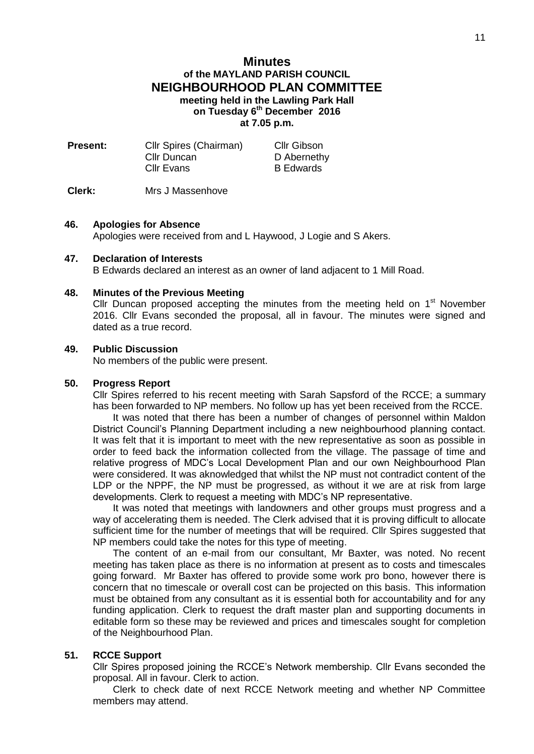# **Minutes of the MAYLAND PARISH COUNCIL NEIGHBOURHOOD PLAN COMMITTEE meeting held in the Lawling Park Hall on Tuesday 6 th December 2016 at 7.05 p.m.**

| Cllr Spires (Chairman) | <b>Cllr Gibson</b> |
|------------------------|--------------------|
| Cllr Duncan            | D Abernethy        |
| Cllr Evans             | <b>B</b> Edwards   |
|                        |                    |

**Clerk:** Mrs J Massenhove

#### **46. Apologies for Absence**

Apologies were received from and L Haywood, J Logie and S Akers.

### **47. Declaration of Interests**

B Edwards declared an interest as an owner of land adjacent to 1 Mill Road.

### **48. Minutes of the Previous Meeting**

Cllr Duncan proposed accepting the minutes from the meeting held on  $1<sup>st</sup>$  November 2016. Cllr Evans seconded the proposal, all in favour. The minutes were signed and dated as a true record.

### **49. Public Discussion**

No members of the public were present.

#### **50. Progress Report**

Cllr Spires referred to his recent meeting with Sarah Sapsford of the RCCE; a summary has been forwarded to NP members. No follow up has yet been received from the RCCE.

It was noted that there has been a number of changes of personnel within Maldon District Council's Planning Department including a new neighbourhood planning contact. It was felt that it is important to meet with the new representative as soon as possible in order to feed back the information collected from the village. The passage of time and relative progress of MDC's Local Development Plan and our own Neighbourhood Plan were considered. It was aknowledged that whilst the NP must not contradict content of the LDP or the NPPF, the NP must be progressed, as without it we are at risk from large developments. Clerk to request a meeting with MDC's NP representative.

It was noted that meetings with landowners and other groups must progress and a way of accelerating them is needed. The Clerk advised that it is proving difficult to allocate sufficient time for the number of meetings that will be required. Cllr Spires suggested that NP members could take the notes for this type of meeting.

The content of an e-mail from our consultant, Mr Baxter, was noted. No recent meeting has taken place as there is no information at present as to costs and timescales going forward. Mr Baxter has offered to provide some work pro bono, however there is concern that no timescale or overall cost can be projected on this basis. This information must be obtained from any consultant as it is essential both for accountability and for any funding application. Clerk to request the draft master plan and supporting documents in editable form so these may be reviewed and prices and timescales sought for completion of the Neighbourhood Plan.

## **51. RCCE Support**

Cllr Spires proposed joining the RCCE's Network membership. Cllr Evans seconded the proposal. All in favour. Clerk to action.

Clerk to check date of next RCCE Network meeting and whether NP Committee members may attend.